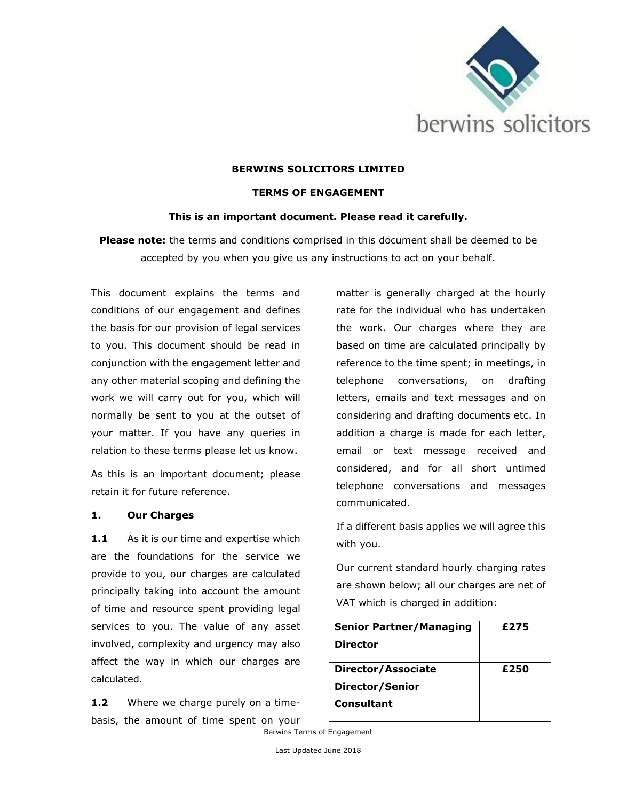

### **BERWINS SOLICITORS LIMITED**

#### **TERMS OF ENGAGEMENT**

### **This is an important document. Please read it carefully.**

**Please note:** the terms and conditions comprised in this document shall be deemed to be accepted by you when you give us any instructions to act on your behalf.

This document explains the terms and conditions of our engagement and defines the basis for our provision of legal services to you. This document should be read in conjunction with the engagement letter and any other material scoping and defining the work we will carry out for you, which will normally be sent to you at the outset of your matter. If you have any queries in relation to these terms please let us know.

As this is an important document; please retain it for future reference.

#### **1. Our Charges**

1.1 As it is our time and expertise which are the foundations for the service we provide to you, our charges are calculated principally taking into account the amount of time and resource spent providing legal services to you. The value of any asset involved, complexity and urgency may also affect the way in which our charges are calculated.

1.2 Where we charge purely on a timebasis, the amount of time spent on your matter is generally charged at the hourly rate for the individual who has undertaken the work. Our charges where they are based on time are calculated principally by reference to the time spent; in meetings, in telephone conversations, on drafting letters, emails and text messages and on considering and drafting documents etc. In addition a charge is made for each letter, email or text message received and considered, and for all short untimed telephone conversations and messages communicated.

If a different basis applies we will agree this with you.

Our current standard hourly charging rates are shown below; all our charges are net of VAT which is charged in addition:

| <b>Senior Partner/Managing</b> | £275 |
|--------------------------------|------|
| <b>Director</b>                |      |
|                                |      |
| Director/Associate             | £250 |
| Director/Senior                |      |
| Consultant                     |      |
|                                |      |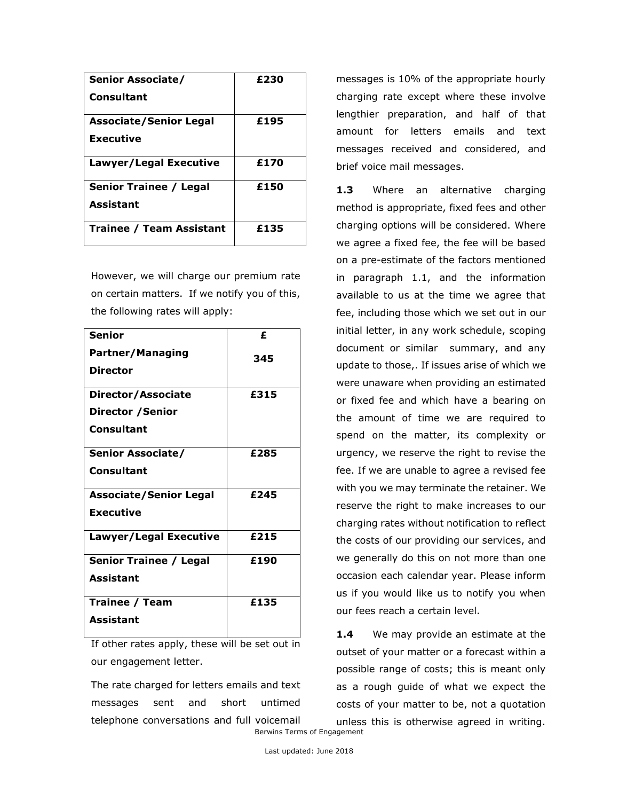| Senior Associate/               | £230 |
|---------------------------------|------|
| Consultant                      |      |
| <b>Associate/Senior Legal</b>   | £195 |
| <b>Executive</b>                |      |
| Lawyer/Legal Executive          | £170 |
| <b>Senior Trainee / Legal</b>   | £150 |
| <b>Assistant</b>                |      |
| <b>Trainee / Team Assistant</b> | £135 |

However, we will charge our premium rate on certain matters. If we notify you of this, the following rates will apply:

| <b>Senior</b>                 | £    |
|-------------------------------|------|
| <b>Partner/Managing</b>       | 345  |
| <b>Director</b>               |      |
| Director/Associate            | £315 |
| <b>Director / Senior</b>      |      |
| Consultant                    |      |
| <b>Senior Associate/</b>      | £285 |
| Consultant                    |      |
| <b>Associate/Senior Legal</b> | £245 |
| <b>Executive</b>              |      |
| Lawyer/Legal Executive        | £215 |
| <b>Senior Trainee / Legal</b> | £190 |
| <b>Assistant</b>              |      |
| <b>Trainee / Team</b>         | £135 |
| <b>Assistant</b>              |      |

If other rates apply, these will be set out in our engagement letter.

Berwins Terms of Engagement The rate charged for letters emails and text messages sent and short untimed telephone conversations and full voicemail

messages is 10% of the appropriate hourly charging rate except where these involve lengthier preparation, and half of that amount for letters emails and text messages received and considered, and brief voice mail messages.

1.3 Where an alternative charging method is appropriate, fixed fees and other charging options will be considered. Where we agree a fixed fee, the fee will be based on a pre-estimate of the factors mentioned in paragraph 1.1, and the information available to us at the time we agree that fee, including those which we set out in our initial letter, in any work schedule, scoping document or similar summary, and any update to those,. If issues arise of which we were unaware when providing an estimated or fixed fee and which have a bearing on the amount of time we are required to spend on the matter, its complexity or urgency, we reserve the right to revise the fee. If we are unable to agree a revised fee with you we may terminate the retainer. We reserve the right to make increases to our charging rates without notification to reflect the costs of our providing our services, and we generally do this on not more than one occasion each calendar year. Please inform us if you would like us to notify you when our fees reach a certain level.

1.4 We may provide an estimate at the outset of your matter or a forecast within a possible range of costs; this is meant only as a rough guide of what we expect the costs of your matter to be, not a quotation unless this is otherwise agreed in writing.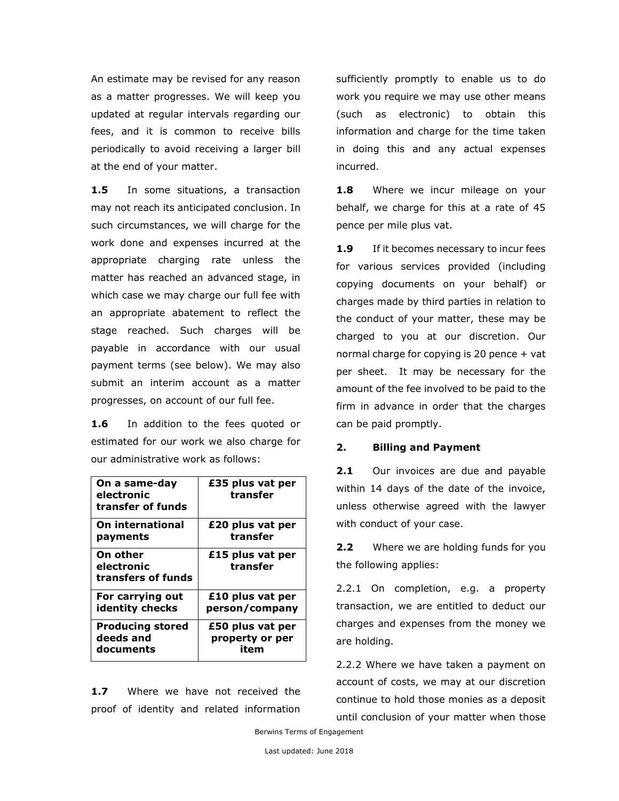An estimate may be revised for any reason as a matter progresses. We will keep you updated at regular intervals regarding our fees, and it is common to receive bills periodically to avoid receiving a larger bill at the end of your matter.

**1.5** In some situations, a transaction may not reach its anticipated conclusion. In such circumstances, we will charge for the work done and expenses incurred at the appropriate charging rate unless the matter has reached an advanced stage, in which case we may charge our full fee with an appropriate abatement to reflect the stage reached. Such charges will be payable in accordance with our usual payment terms (see below). We may also submit an interim account as a matter progresses, on account of our full fee.

**1.6** In addition to the fees quoted or estimated for our work we also charge for our administrative work as follows:

| On a same-day<br>electronic<br>transfer of funds | £35 plus vat per<br>transfer |
|--------------------------------------------------|------------------------------|
| On international                                 | £20 plus vat per             |
| payments                                         | transfer                     |
| On other<br>electronic<br>transfers of funds     | £15 plus vat per<br>transfer |
| For carrying out                                 | £10 plus vat per             |
| identity checks                                  | person/company               |
| <b>Producing stored</b>                          | £50 plus vat per             |
| deeds and                                        | property or per              |
| documents                                        | item                         |

**1.7** Where we have not received the proof of identity and related information sufficiently promptly to enable us to do work you require we may use other means (such as electronic) to obtain this information and charge for the time taken in doing this and any actual expenses incurred.

1.8 Where we incur mileage on your behalf, we charge for this at a rate of 45 pence per mile plus vat.

**1.9** If it becomes necessary to incur fees for various services provided (including copying documents on your behalf) or charges made by third parties in relation to the conduct of your matter, these may be charged to you at our discretion. Our normal charge for copying is 20 pence + vat per sheet. It may be necessary for the amount of the fee involved to be paid to the firm in advance in order that the charges can be paid promptly.

### **2. Billing and Payment**

2.1 Our invoices are due and payable within 14 days of the date of the invoice, unless otherwise agreed with the lawyer with conduct of your case.

**2.2** Where we are holding funds for you the following applies:

2.2.1 On completion, e.g. a property transaction, we are entitled to deduct our charges and expenses from the money we are holding.

2.2.2 Where we have taken a payment on account of costs, we may at our discretion continue to hold those monies as a deposit until conclusion of your matter when those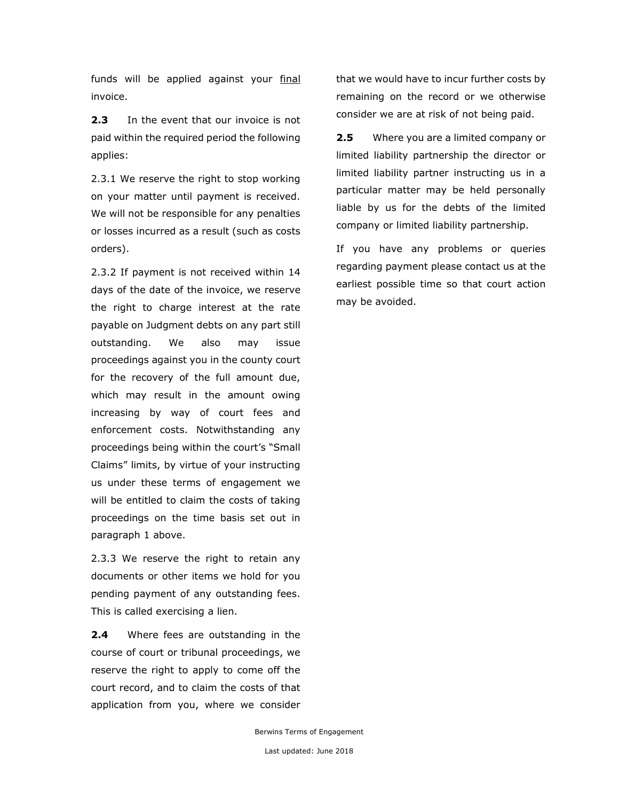funds will be applied against your final invoice.

**2.3** In the event that our invoice is not paid within the required period the following applies:

2.3.1 We reserve the right to stop working on your matter until payment is received. We will not be responsible for any penalties or losses incurred as a result (such as costs orders).

2.3.2 If payment is not received within 14 days of the date of the invoice, we reserve the right to charge interest at the rate payable on Judgment debts on any part still outstanding. We also may issue proceedings against you in the county court for the recovery of the full amount due, which may result in the amount owing increasing by way of court fees and enforcement costs. Notwithstanding any proceedings being within the court's "Small Claims" limits, by virtue of your instructing us under these terms of engagement we will be entitled to claim the costs of taking proceedings on the time basis set out in paragraph 1 above.

2.3.3 We reserve the right to retain any documents or other items we hold for you pending payment of any outstanding fees. This is called exercising a lien.

**2.4** Where fees are outstanding in the course of court or tribunal proceedings, we reserve the right to apply to come off the court record, and to claim the costs of that application from you, where we consider

that we would have to incur further costs by remaining on the record or we otherwise consider we are at risk of not being paid.

**2.5** Where you are a limited company or limited liability partnership the director or limited liability partner instructing us in a particular matter may be held personally liable by us for the debts of the limited company or limited liability partnership.

If you have any problems or queries regarding payment please contact us at the earliest possible time so that court action may be avoided.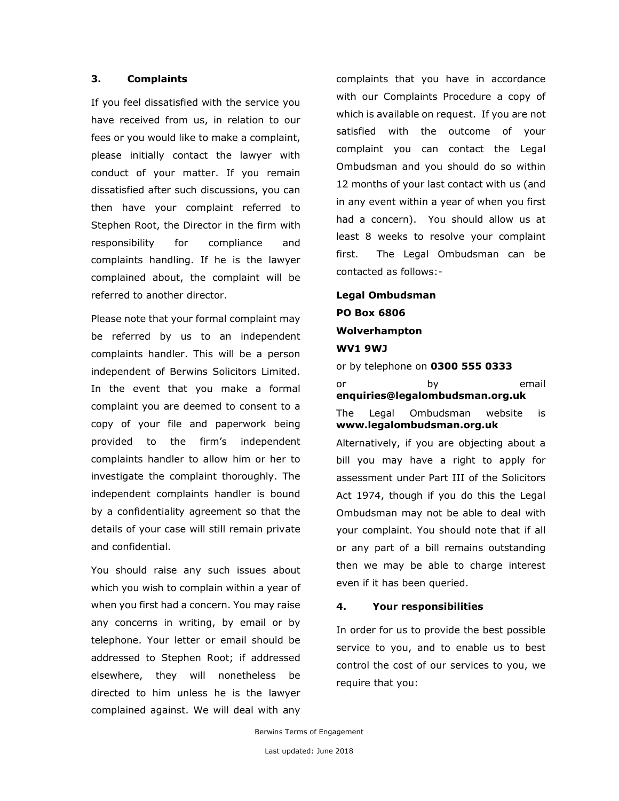## **3. Complaints**

If you feel dissatisfied with the service you have received from us, in relation to our fees or you would like to make a complaint, please initially contact the lawyer with conduct of your matter. If you remain dissatisfied after such discussions, you can then have your complaint referred to Stephen Root, the Director in the firm with responsibility for compliance and complaints handling. If he is the lawyer complained about, the complaint will be referred to another director.

Please note that your formal complaint may be referred by us to an independent complaints handler. This will be a person independent of Berwins Solicitors Limited. In the event that you make a formal complaint you are deemed to consent to a copy of your file and paperwork being provided to the firm's independent complaints handler to allow him or her to investigate the complaint thoroughly. The independent complaints handler is bound by a confidentiality agreement so that the details of your case will still remain private and confidential.

You should raise any such issues about which you wish to complain within a year of when you first had a concern. You may raise any concerns in writing, by email or by telephone. Your letter or email should be addressed to Stephen Root; if addressed elsewhere, they will nonetheless be directed to him unless he is the lawyer complained against. We will deal with any

complaints that you have in accordance with our Complaints Procedure a copy of which is available on request. If you are not satisfied with the outcome of your complaint you can contact the Legal Ombudsman and you should do so within 12 months of your last contact with us (and in any event within a year of when you first had a concern). You should allow us at least 8 weeks to resolve your complaint first. The Legal Ombudsman can be contacted as follows:-

# **Legal Ombudsman PO Box 6806 Wolverhampton WV1 9WJ**

or by telephone on **0300 555 0333** or by email **enquiries@legalombudsman.org.uk** The Legal Ombudsman website is **www.legalombudsman.org.uk**

Alternatively, if you are objecting about a bill you may have a right to apply for assessment under Part III of the Solicitors Act 1974, though if you do this the Legal Ombudsman may not be able to deal with your complaint. You should note that if all or any part of a bill remains outstanding then we may be able to charge interest even if it has been queried.

### **4. Your responsibilities**

In order for us to provide the best possible service to you, and to enable us to best control the cost of our services to you, we require that you: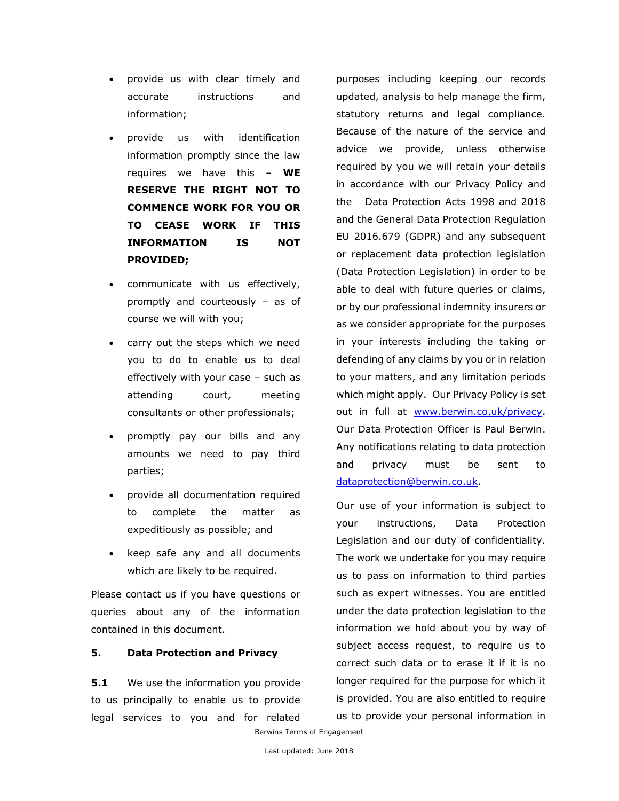- provide us with clear timely and accurate instructions and information;
- provide us with identification information promptly since the law requires we have this – **WE RESERVE THE RIGHT NOT TO COMMENCE WORK FOR YOU OR TO CEASE WORK IF THIS INFORMATION IS NOT PROVIDED;**
- communicate with us effectively, promptly and courteously – as of course we will with you;
- carry out the steps which we need you to do to enable us to deal effectively with your case – such as attending court, meeting consultants or other professionals;
- promptly pay our bills and any amounts we need to pay third parties;
- provide all documentation required to complete the matter as expeditiously as possible; and
- keep safe any and all documents which are likely to be required.

Please contact us if you have questions or queries about any of the information contained in this document.

# **5. Data Protection and Privacy**

**5.1** We use the information you provide to us principally to enable us to provide legal services to you and for related

purposes including keeping our records updated, analysis to help manage the firm, statutory returns and legal compliance. Because of the nature of the service and advice we provide, unless otherwise required by you we will retain your details in accordance with our Privacy Policy and the Data Protection Acts 1998 and 2018 and the General Data Protection Regulation EU 2016.679 (GDPR) and any subsequent or replacement data protection legislation (Data Protection Legislation) in order to be able to deal with future queries or claims, or by our professional indemnity insurers or as we consider appropriate for the purposes in your interests including the taking or defending of any claims by you or in relation to your matters, and any limitation periods which might apply. Our Privacy Policy is set out in full at [www.berwin.co.uk/privacy.](http://www.berwin.co.uk/privacy) Our Data Protection Officer is Paul Berwin. Any notifications relating to data protection and privacy must be sent to [dataprotection@berwin.co.uk.](mailto:dataprotection@berwin.co.uk)

Our use of your information is subject to your instructions, Data Protection Legislation and our duty of confidentiality. The work we undertake for you may require us to pass on information to third parties such as expert witnesses. You are entitled under the data protection legislation to the information we hold about you by way of subject access request, to require us to correct such data or to erase it if it is no longer required for the purpose for which it is provided. You are also entitled to require us to provide your personal information in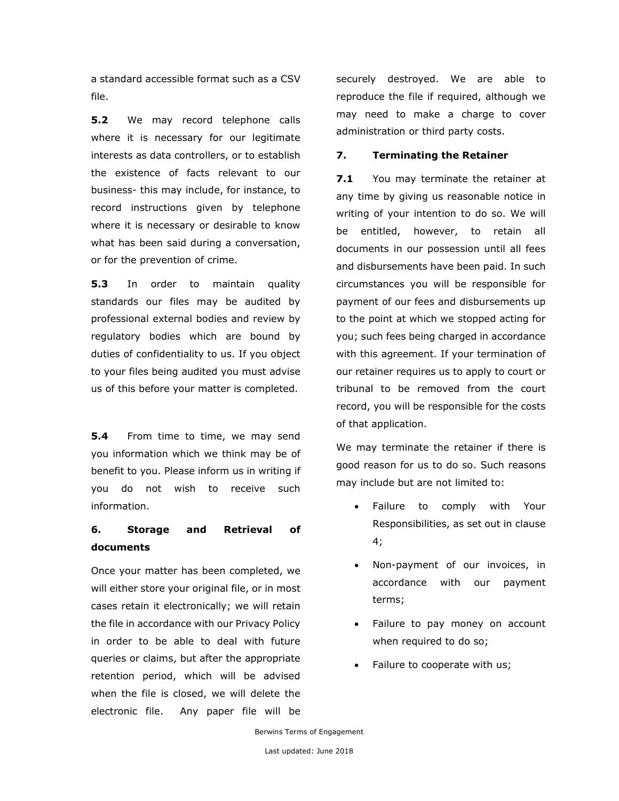a standard accessible format such as a CSV file.

**5.2** We may record telephone calls where it is necessary for our legitimate interests as data controllers, or to establish the existence of facts relevant to our business- this may include, for instance, to record instructions given by telephone where it is necessary or desirable to know what has been said during a conversation, or for the prevention of crime.

**5.3** In order to maintain quality standards our files may be audited by professional external bodies and review by regulatory bodies which are bound by duties of confidentiality to us. If you object to your files being audited you must advise us of this before your matter is completed.

**5.4** From time to time, we may send you information which we think may be of benefit to you. Please inform us in writing if you do not wish to receive such information.

# **6. Storage and Retrieval of documents**

Once your matter has been completed, we will either store your original file, or in most cases retain it electronically; we will retain the file in accordance with our Privacy Policy in order to be able to deal with future queries or claims, but after the appropriate retention period, which will be advised when the file is closed, we will delete the electronic file. Any paper file will be securely destroyed. We are able to reproduce the file if required, although we may need to make a charge to cover administration or third party costs.

## **7. Terminating the Retainer**

**7.1** You may terminate the retainer at any time by giving us reasonable notice in writing of your intention to do so. We will be entitled, however, to retain all documents in our possession until all fees and disbursements have been paid. In such circumstances you will be responsible for payment of our fees and disbursements up to the point at which we stopped acting for you; such fees being charged in accordance with this agreement. If your termination of our retainer requires us to apply to court or tribunal to be removed from the court record, you will be responsible for the costs of that application.

We may terminate the retainer if there is good reason for us to do so. Such reasons may include but are not limited to:

- Failure to comply with Your Responsibilities, as set out in clause 4;
- Non-payment of our invoices, in accordance with our payment terms;
- Failure to pay money on account when required to do so;
- Failure to cooperate with us;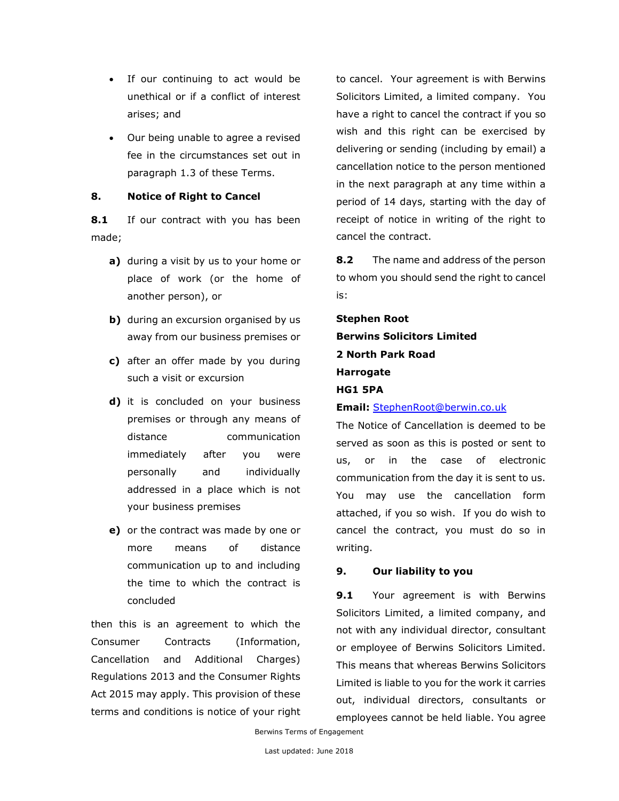- If our continuing to act would be unethical or if a conflict of interest arises; and
- Our being unable to agree a revised fee in the circumstances set out in paragraph 1.3 of these Terms.

# **8. Notice of Right to Cancel**

**8.1** If our contract with you has been made;

- **a)** during a visit by us to your home or place of work (or the home of another person), or
- **b**) during an excursion organised by us away from our business premises or
- **c)** after an offer made by you during such a visit or excursion
- **d)** it is concluded on your business premises or through any means of distance communication immediately after you were personally and individually addressed in a place which is not your business premises
- **e)** or the contract was made by one or more means of distance communication up to and including the time to which the contract is concluded

then this is an agreement to which the Consumer Contracts (Information, Cancellation and Additional Charges) Regulations 2013 and the Consumer Rights Act 2015 may apply. This provision of these terms and conditions is notice of your right to cancel. Your agreement is with Berwins Solicitors Limited, a limited company. You have a right to cancel the contract if you so wish and this right can be exercised by delivering or sending (including by email) a cancellation notice to the person mentioned in the next paragraph at any time within a period of 14 days, starting with the day of receipt of notice in writing of the right to cancel the contract.

**8.2** The name and address of the person to whom you should send the right to cancel is:

**Stephen Root Berwins Solicitors Limited 2 North Park Road Harrogate HG1 5PA**

**Email:** [StephenRoot@berwin.co.uk](mailto:StephenRoot@berwin.co.uk)

The Notice of Cancellation is deemed to be served as soon as this is posted or sent to us, or in the case of electronic communication from the day it is sent to us. You may use the cancellation form attached, if you so wish. If you do wish to cancel the contract, you must do so in writing.

# **9. Our liability to you**

**9.1** Your agreement is with Berwins Solicitors Limited, a limited company, and not with any individual director, consultant or employee of Berwins Solicitors Limited. This means that whereas Berwins Solicitors Limited is liable to you for the work it carries out, individual directors, consultants or employees cannot be held liable. You agree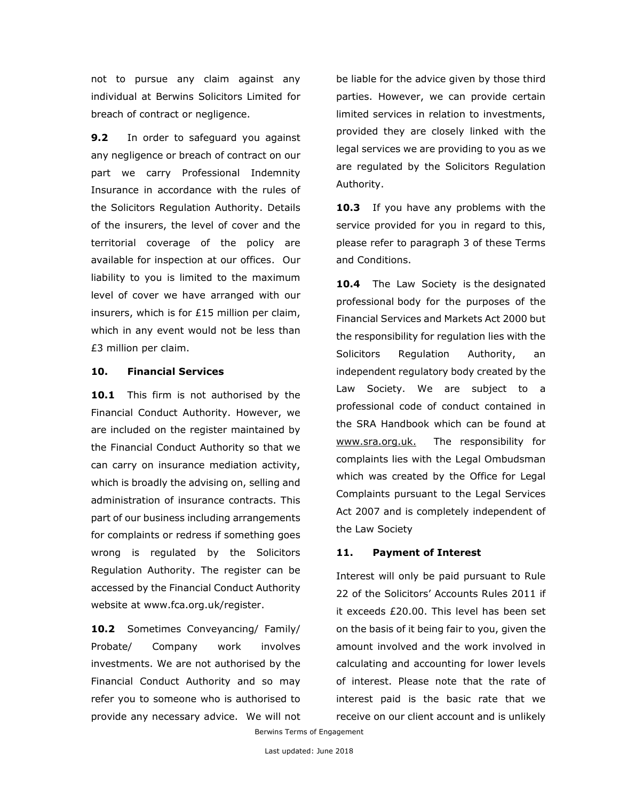not to pursue any claim against any individual at Berwins Solicitors Limited for breach of contract or negligence.

**9.2** In order to safeguard you against any negligence or breach of contract on our part we carry Professional Indemnity Insurance in accordance with the rules of the Solicitors Regulation Authority. Details of the insurers, the level of cover and the territorial coverage of the policy are available for inspection at our offices. Our liability to you is limited to the maximum level of cover we have arranged with our insurers, which is for £15 million per claim, which in any event would not be less than £3 million per claim.

### **10. Financial Services**

10.1 This firm is not authorised by the Financial Conduct Authority. However, we are included on the register maintained by the Financial Conduct Authority so that we can carry on insurance mediation activity, which is broadly the advising on, selling and administration of insurance contracts. This part of our business including arrangements for complaints or redress if something goes wrong is regulated by the Solicitors Regulation Authority. The register can be accessed by the Financial Conduct Authority website at [www.fca.org.uk/register.](http://www.fca.org.uk/register)

**10.2** Sometimes Conveyancing/ Family/ Probate/ Company work involves investments. We are not authorised by the Financial Conduct Authority and so may refer you to someone who is authorised to provide any necessary advice. We will not be liable for the advice given by those third parties. However, we can provide certain limited services in relation to investments, provided they are closely linked with the legal services we are providing to you as we are regulated by the Solicitors Regulation Authority.

**10.3** If you have any problems with the service provided for you in regard to this, please refer to paragraph 3 of these Terms and Conditions.

10.4 The Law Society is the designated professional body for the purposes of the Financial Services and Markets Act 2000 but the responsibility for regulation lies with the Solicitors Regulation Authority, an independent regulatory body created by the Law Society. We are subject to a professional code of conduct contained in the SRA Handbook which can be found at [www.sra.org.uk.](http://www.sra.org.uk/) The responsibility for complaints lies with the Legal Ombudsman which was created by the Office for Legal Complaints pursuant to the Legal Services Act 2007 and is completely independent of the Law Society

### **11. Payment of Interest**

Interest will only be paid pursuant to Rule 22 of the Solicitors' Accounts Rules 2011 if it exceeds £20.00. This level has been set on the basis of it being fair to you, given the amount involved and the work involved in calculating and accounting for lower levels of interest. Please note that the rate of interest paid is the basic rate that we receive on our client account and is unlikely